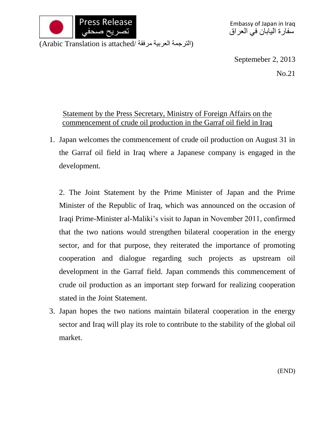

(الترجمة العربية مرفقة /Arabic Translation is attached)

Septemeber 2, 2013

No.21

## Statement by the Press Secretary, Ministry of Foreign Affairs on the commencement of crude oil production in the Garraf oil field in Iraq

1. Japan welcomes the commencement of crude oil production on August 31 in the Garraf oil field in Iraq where a Japanese company is engaged in the development.

2. The Joint Statement by the Prime Minister of Japan and the Prime Minister of the Republic of Iraq, which was announced on the occasion of Iraqi Prime-Minister al-Maliki's visit to Japan in November 2011, confirmed that the two nations would strengthen bilateral cooperation in the energy sector, and for that purpose, they reiterated the importance of promoting cooperation and dialogue regarding such projects as upstream oil development in the Garraf field. Japan commends this commencement of crude oil production as an important step forward for realizing cooperation stated in the Joint Statement.

3. Japan hopes the two nations maintain bilateral cooperation in the energy sector and Iraq will play its role to contribute to the stability of the global oil market.